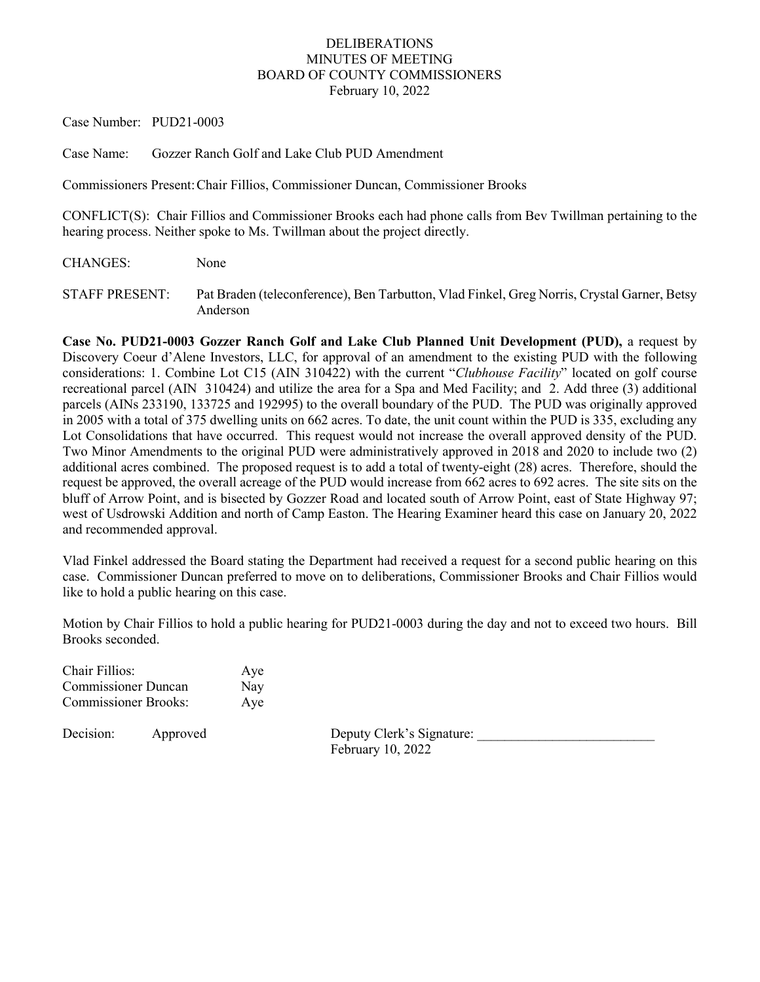## DELIBERATIONS MINUTES OF MEETING BOARD OF COUNTY COMMISSIONERS February 10, 2022

Case Number: PUD21-0003

Case Name: Gozzer Ranch Golf and Lake Club PUD Amendment

Commissioners Present:Chair Fillios, Commissioner Duncan, Commissioner Brooks

CONFLICT(S): Chair Fillios and Commissioner Brooks each had phone calls from Bev Twillman pertaining to the hearing process. Neither spoke to Ms. Twillman about the project directly.

CHANGES: None

STAFF PRESENT: Pat Braden (teleconference), Ben Tarbutton, Vlad Finkel, Greg Norris, Crystal Garner, Betsy Anderson

**Case No. PUD21-0003 Gozzer Ranch Golf and Lake Club Planned Unit Development (PUD),** a request by Discovery Coeur d'Alene Investors, LLC, for approval of an amendment to the existing PUD with the following considerations: 1. Combine Lot C15 (AIN 310422) with the current "*Clubhouse Facility*" located on golf course recreational parcel (AIN 310424) and utilize the area for a Spa and Med Facility; and 2. Add three (3) additional parcels (AINs 233190, 133725 and 192995) to the overall boundary of the PUD. The PUD was originally approved in 2005 with a total of 375 dwelling units on 662 acres. To date, the unit count within the PUD is 335, excluding any Lot Consolidations that have occurred. This request would not increase the overall approved density of the PUD. Two Minor Amendments to the original PUD were administratively approved in 2018 and 2020 to include two (2) additional acres combined. The proposed request is to add a total of twenty-eight (28) acres. Therefore, should the request be approved, the overall acreage of the PUD would increase from 662 acres to 692 acres. The site sits on the bluff of Arrow Point, and is bisected by Gozzer Road and located south of Arrow Point, east of State Highway 97; west of Usdrowski Addition and north of Camp Easton. The Hearing Examiner heard this case on January 20, 2022 and recommended approval.

Vlad Finkel addressed the Board stating the Department had received a request for a second public hearing on this case. Commissioner Duncan preferred to move on to deliberations, Commissioner Brooks and Chair Fillios would like to hold a public hearing on this case.

Motion by Chair Fillios to hold a public hearing for PUD21-0003 during the day and not to exceed two hours. Bill Brooks seconded.

Chair Fillios: Aye Commissioner Duncan Nay Commissioner Brooks: Aye

Decision: Approved Deputy Clerk's Signature: February 10, 2022